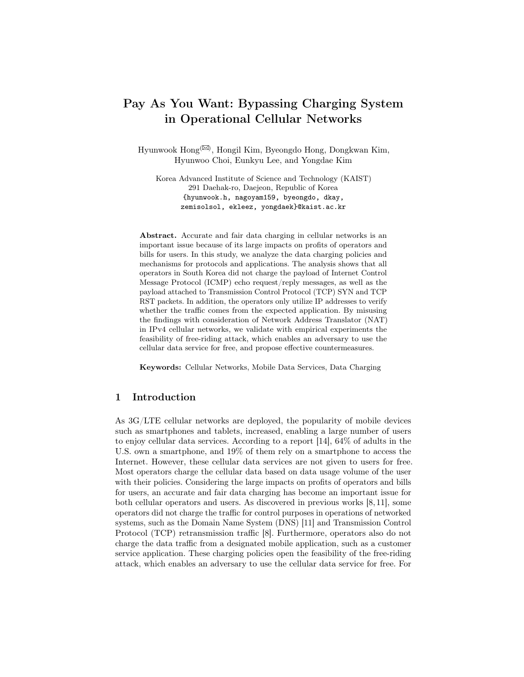# Pay As You Want: Bypassing Charging System in Operational Cellular Networks

Hyunwook Hong() , Hongil Kim, Byeongdo Hong, Dongkwan Kim, Hyunwoo Choi, Eunkyu Lee, and Yongdae Kim

Korea Advanced Institute of Science and Technology (KAIST) 291 Daehak-ro, Daejeon, Republic of Korea {hyunwook.h, nagoyam159, byeongdo, dkay, zemisolsol, ekleez, yongdaek}@kaist.ac.kr

Abstract. Accurate and fair data charging in cellular networks is an important issue because of its large impacts on profits of operators and bills for users. In this study, we analyze the data charging policies and mechanisms for protocols and applications. The analysis shows that all operators in South Korea did not charge the payload of Internet Control Message Protocol (ICMP) echo request/reply messages, as well as the payload attached to Transmission Control Protocol (TCP) SYN and TCP RST packets. In addition, the operators only utilize IP addresses to verify whether the traffic comes from the expected application. By misusing the findings with consideration of Network Address Translator (NAT) in IPv4 cellular networks, we validate with empirical experiments the feasibility of free-riding attack, which enables an adversary to use the cellular data service for free, and propose effective countermeasures.

Keywords: Cellular Networks, Mobile Data Services, Data Charging

## 1 Introduction

As 3G/LTE cellular networks are deployed, the popularity of mobile devices such as smartphones and tablets, increased, enabling a large number of users to enjoy cellular data services. According to a report [14], 64% of adults in the U.S. own a smartphone, and 19% of them rely on a smartphone to access the Internet. However, these cellular data services are not given to users for free. Most operators charge the cellular data based on data usage volume of the user with their policies. Considering the large impacts on profits of operators and bills for users, an accurate and fair data charging has become an important issue for both cellular operators and users. As discovered in previous works [8, 11], some operators did not charge the traffic for control purposes in operations of networked systems, such as the Domain Name System (DNS) [11] and Transmission Control Protocol (TCP) retransmission traffic [8]. Furthermore, operators also do not charge the data traffic from a designated mobile application, such as a customer service application. These charging policies open the feasibility of the free-riding attack, which enables an adversary to use the cellular data service for free. For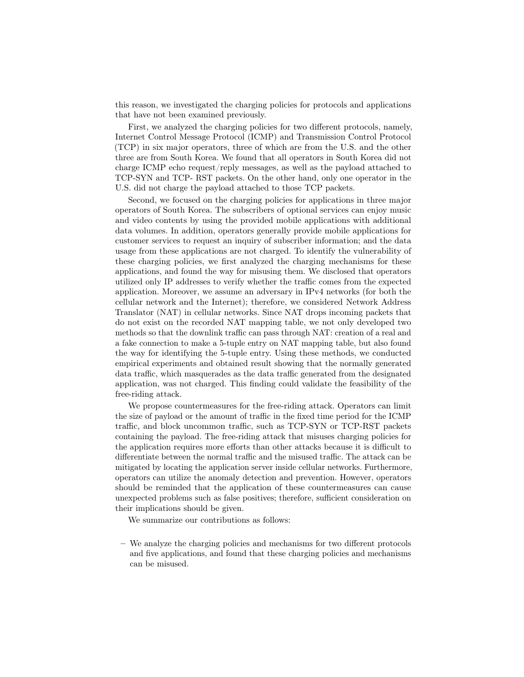this reason, we investigated the charging policies for protocols and applications that have not been examined previously.

First, we analyzed the charging policies for two different protocols, namely, Internet Control Message Protocol (ICMP) and Transmission Control Protocol (TCP) in six major operators, three of which are from the U.S. and the other three are from South Korea. We found that all operators in South Korea did not charge ICMP echo request/reply messages, as well as the payload attached to TCP-SYN and TCP- RST packets. On the other hand, only one operator in the U.S. did not charge the payload attached to those TCP packets.

Second, we focused on the charging policies for applications in three major operators of South Korea. The subscribers of optional services can enjoy music and video contents by using the provided mobile applications with additional data volumes. In addition, operators generally provide mobile applications for customer services to request an inquiry of subscriber information; and the data usage from these applications are not charged. To identify the vulnerability of these charging policies, we first analyzed the charging mechanisms for these applications, and found the way for misusing them. We disclosed that operators utilized only IP addresses to verify whether the traffic comes from the expected application. Moreover, we assume an adversary in IPv4 networks (for both the cellular network and the Internet); therefore, we considered Network Address Translator (NAT) in cellular networks. Since NAT drops incoming packets that do not exist on the recorded NAT mapping table, we not only developed two methods so that the downlink traffic can pass through NAT: creation of a real and a fake connection to make a 5-tuple entry on NAT mapping table, but also found the way for identifying the 5-tuple entry. Using these methods, we conducted empirical experiments and obtained result showing that the normally generated data traffic, which masquerades as the data traffic generated from the designated application, was not charged. This finding could validate the feasibility of the free-riding attack.

We propose countermeasures for the free-riding attack. Operators can limit the size of payload or the amount of traffic in the fixed time period for the ICMP traffic, and block uncommon traffic, such as TCP-SYN or TCP-RST packets containing the payload. The free-riding attack that misuses charging policies for the application requires more efforts than other attacks because it is difficult to differentiate between the normal traffic and the misused traffic. The attack can be mitigated by locating the application server inside cellular networks. Furthermore, operators can utilize the anomaly detection and prevention. However, operators should be reminded that the application of these countermeasures can cause unexpected problems such as false positives; therefore, sufficient consideration on their implications should be given.

We summarize our contributions as follows:

– We analyze the charging policies and mechanisms for two different protocols and five applications, and found that these charging policies and mechanisms can be misused.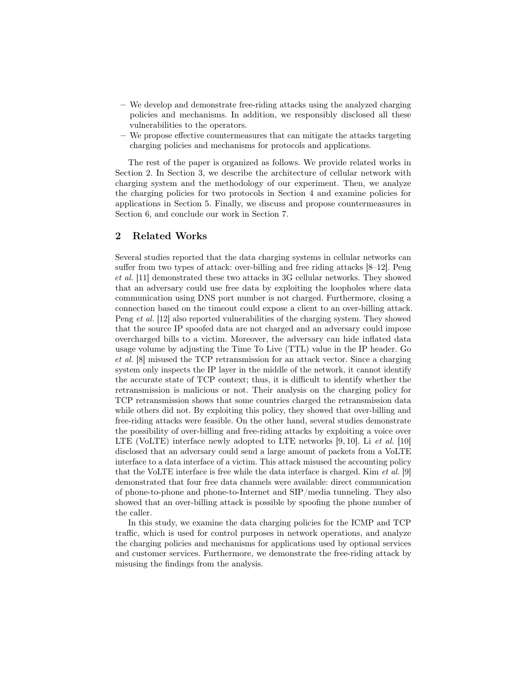- We develop and demonstrate free-riding attacks using the analyzed charging policies and mechanisms. In addition, we responsibly disclosed all these vulnerabilities to the operators.
- We propose effective countermeasures that can mitigate the attacks targeting charging policies and mechanisms for protocols and applications.

The rest of the paper is organized as follows. We provide related works in Section 2. In Section 3, we describe the architecture of cellular network with charging system and the methodology of our experiment. Then, we analyze the charging policies for two protocols in Section 4 and examine policies for applications in Section 5. Finally, we discuss and propose countermeasures in Section 6, and conclude our work in Section 7.

## 2 Related Works

Several studies reported that the data charging systems in cellular networks can suffer from two types of attack: over-billing and free riding attacks [8–12]. Peng et al. [11] demonstrated these two attacks in 3G cellular networks. They showed that an adversary could use free data by exploiting the loopholes where data communication using DNS port number is not charged. Furthermore, closing a connection based on the timeout could expose a client to an over-billing attack. Peng et al. [12] also reported vulnerabilities of the charging system. They showed that the source IP spoofed data are not charged and an adversary could impose overcharged bills to a victim. Moreover, the adversary can hide inflated data usage volume by adjusting the Time To Live (TTL) value in the IP header. Go et al. [8] misused the TCP retransmission for an attack vector. Since a charging system only inspects the IP layer in the middle of the network, it cannot identify the accurate state of TCP context; thus, it is difficult to identify whether the retransmission is malicious or not. Their analysis on the charging policy for TCP retransmission shows that some countries charged the retransmission data while others did not. By exploiting this policy, they showed that over-billing and free-riding attacks were feasible. On the other hand, several studies demonstrate the possibility of over-billing and free-riding attacks by exploiting a voice over LTE (VoLTE) interface newly adopted to LTE networks  $[9, 10]$ . Li *et al.* [10] disclosed that an adversary could send a large amount of packets from a VoLTE interface to a data interface of a victim. This attack misused the accounting policy that the VoLTE interface is free while the data interface is charged. Kim *et al.* [9] demonstrated that four free data channels were available: direct communication of phone-to-phone and phone-to-Internet and SIP/media tunneling. They also showed that an over-billing attack is possible by spoofing the phone number of the caller.

In this study, we examine the data charging policies for the ICMP and TCP traffic, which is used for control purposes in network operations, and analyze the charging policies and mechanisms for applications used by optional services and customer services. Furthermore, we demonstrate the free-riding attack by misusing the findings from the analysis.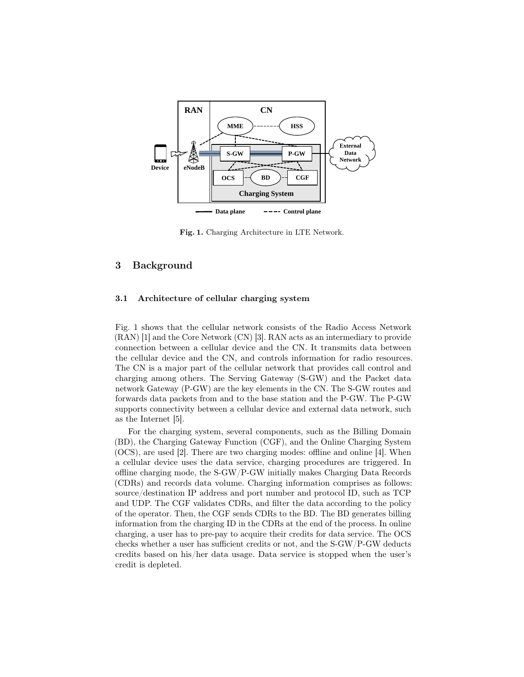

Fig. 1. Charging Architecture in LTE Network.

## 3 Background

#### 3.1 Architecture of cellular charging system

Fig. 1 shows that the cellular network consists of the Radio Access Network (RAN) [1] and the Core Network (CN) [3]. RAN acts as an intermediary to provide connection between a cellular device and the CN. It transmits data between the cellular device and the CN, and controls information for radio resources. The CN is a major part of the cellular network that provides call control and charging among others. The Serving Gateway (S-GW) and the Packet data network Gateway (P-GW) are the key elements in the CN. The S-GW routes and forwards data packets from and to the base station and the P-GW. The P-GW supports connectivity between a cellular device and external data network, such as the Internet [5].

For the charging system, several components, such as the Billing Domain (BD), the Charging Gateway Function (CGF), and the Online Charging System (OCS), are used [2]. There are two charging modes: offline and online [4]. When a cellular device uses the data service, charging procedures are triggered. In offline charging mode, the S-GW/P-GW initially makes Charging Data Records (CDRs) and records data volume. Charging information comprises as follows: source/destination IP address and port number and protocol ID, such as TCP and UDP. The CGF validates CDRs, and filter the data according to the policy of the operator. Then, the CGF sends CDRs to the BD. The BD generates billing information from the charging ID in the CDRs at the end of the process. In online charging, a user has to pre-pay to acquire their credits for data service. The OCS checks whether a user has sufficient credits or not, and the S-GW/P-GW deducts credits based on his/her data usage. Data service is stopped when the user's credit is depleted.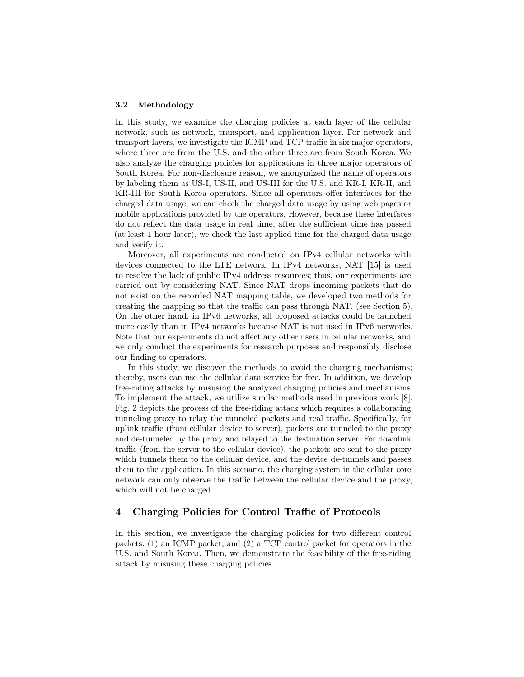#### 3.2 Methodology

In this study, we examine the charging policies at each layer of the cellular network, such as network, transport, and application layer. For network and transport layers, we investigate the ICMP and TCP traffic in six major operators, where three are from the U.S. and the other three are from South Korea. We also analyze the charging policies for applications in three major operators of South Korea. For non-disclosure reason, we anonymized the name of operators by labeling them as US-I, US-II, and US-III for the U.S. and KR-I, KR-II, and KR-III for South Korea operators. Since all operators offer interfaces for the charged data usage, we can check the charged data usage by using web pages or mobile applications provided by the operators. However, because these interfaces do not reflect the data usage in real time, after the sufficient time has passed (at least 1 hour later), we check the last applied time for the charged data usage and verify it.

Moreover, all experiments are conducted on IPv4 cellular networks with devices connected to the LTE network. In IPv4 networks, NAT [15] is used to resolve the lack of public IPv4 address resources; thus, our experiments are carried out by considering NAT. Since NAT drops incoming packets that do not exist on the recorded NAT mapping table, we developed two methods for creating the mapping so that the traffic can pass through NAT. (see Section 5). On the other hand, in IPv6 networks, all proposed attacks could be launched more easily than in IPv4 networks because NAT is not used in IPv6 networks. Note that our experiments do not affect any other users in cellular networks, and we only conduct the experiments for research purposes and responsibly disclose our finding to operators.

In this study, we discover the methods to avoid the charging mechanisms; thereby, users can use the cellular data service for free. In addition, we develop free-riding attacks by misusing the analyzed charging policies and mechanisms. To implement the attack, we utilize similar methods used in previous work [8]. Fig. 2 depicts the process of the free-riding attack which requires a collaborating tunneling proxy to relay the tunneled packets and real traffic. Specifically, for uplink traffic (from cellular device to server), packets are tunneled to the proxy and de-tunneled by the proxy and relayed to the destination server. For downlink traffic (from the server to the cellular device), the packets are sent to the proxy which tunnels them to the cellular device, and the device de-tunnels and passes them to the application. In this scenario, the charging system in the cellular core network can only observe the traffic between the cellular device and the proxy, which will not be charged.

## 4 Charging Policies for Control Traffic of Protocols

In this section, we investigate the charging policies for two different control packets: (1) an ICMP packet, and (2) a TCP control packet for operators in the U.S. and South Korea. Then, we demonstrate the feasibility of the free-riding attack by misusing these charging policies.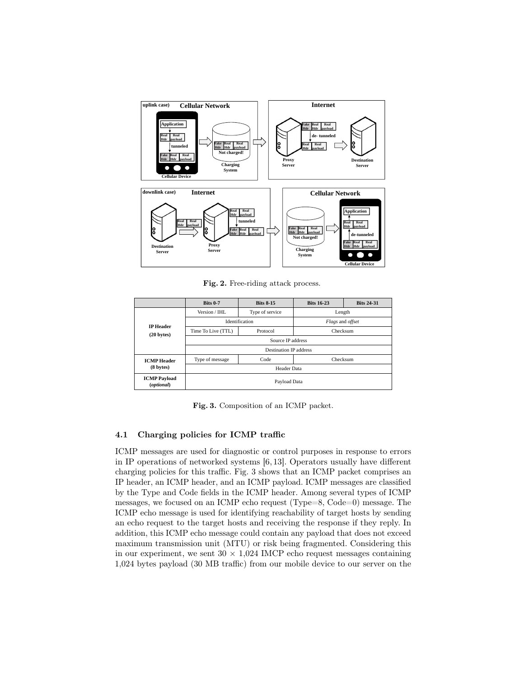

Fig. 2. Free-riding attack process.

|                                   | <b>Bits 0-7</b>               | <b>Bits 8-15</b> | <b>Bits 16-23</b> | <b>Bits 24-31</b> |  |
|-----------------------------------|-------------------------------|------------------|-------------------|-------------------|--|
| <b>IP</b> Header<br>(20 bytes)    | Version / IHI.                | Type of service  | Length            |                   |  |
|                                   |                               | Identification   | Flags and offset  |                   |  |
|                                   | Time To Live (TTL)            | Protocol         | Checksum          |                   |  |
|                                   | Source IP address             |                  |                   |                   |  |
|                                   | <b>Destination IP address</b> |                  |                   |                   |  |
| <b>ICMP</b> Header<br>(8 bytes)   | Type of message               | Code             | Checksum          |                   |  |
|                                   | Header Data                   |                  |                   |                   |  |
| <b>ICMP</b> Payload<br>(optional) | Payload Data                  |                  |                   |                   |  |

Fig. 3. Composition of an ICMP packet.

## 4.1 Charging policies for ICMP traffic

ICMP messages are used for diagnostic or control purposes in response to errors in IP operations of networked systems [6, 13]. Operators usually have different charging policies for this traffic. Fig. 3 shows that an ICMP packet comprises an IP header, an ICMP header, and an ICMP payload. ICMP messages are classified by the Type and Code fields in the ICMP header. Among several types of ICMP messages, we focused on an ICMP echo request (Type=8, Code=0) message. The ICMP echo message is used for identifying reachability of target hosts by sending an echo request to the target hosts and receiving the response if they reply. In addition, this ICMP echo message could contain any payload that does not exceed maximum transmission unit (MTU) or risk being fragmented. Considering this in our experiment, we sent  $30 \times 1,024$  IMCP echo request messages containing 1,024 bytes payload (30 MB traffic) from our mobile device to our server on the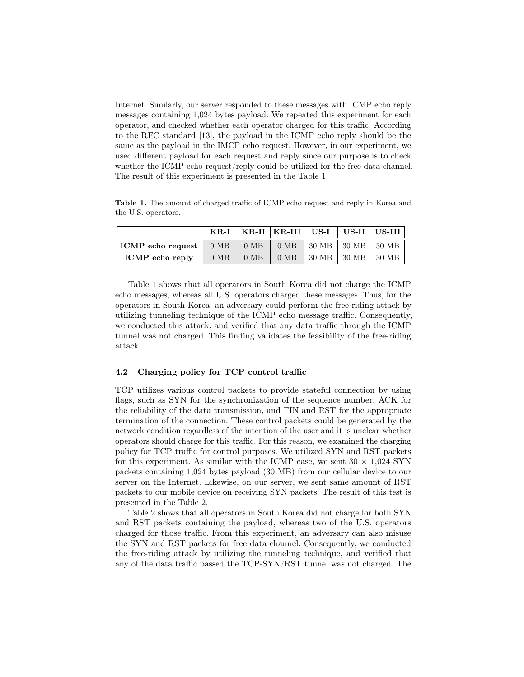Internet. Similarly, our server responded to these messages with ICMP echo reply messages containing 1,024 bytes payload. We repeated this experiment for each operator, and checked whether each operator charged for this traffic. According to the RFC standard [13], the payload in the ICMP echo reply should be the same as the payload in the IMCP echo request. However, in our experiment, we used different payload for each request and reply since our purpose is to check whether the ICMP echo request/reply could be utilized for the free data channel. The result of this experiment is presented in the Table 1.

Table 1. The amount of charged traffic of ICMP echo request and reply in Korea and the U.S. operators.

|                                                                                                            |                  |                  | KR-I   KR-II   KR-III   US-I   US-II   US-III |                                                       |  |
|------------------------------------------------------------------------------------------------------------|------------------|------------------|-----------------------------------------------|-------------------------------------------------------|--|
| $\vert$ ICMP echo request $\vert$ 0 MB $\vert$ 0 MB $\vert$ 0 MB $\vert$ 30 MB $\vert$ 30 MB $\vert$ 30 MB |                  |                  |                                               |                                                       |  |
| ICMP echo reply                                                                                            | $\parallel$ 0 MB | $0\;\mathrm{MB}$ | $0\,\mathrm{MB}$                              | $\parallel$ 30 MB $\parallel$ 30 MB $\parallel$ 30 MB |  |

Table 1 shows that all operators in South Korea did not charge the ICMP echo messages, whereas all U.S. operators charged these messages. Thus, for the operators in South Korea, an adversary could perform the free-riding attack by utilizing tunneling technique of the ICMP echo message traffic. Consequently, we conducted this attack, and verified that any data traffic through the ICMP tunnel was not charged. This finding validates the feasibility of the free-riding attack.

#### 4.2 Charging policy for TCP control traffic

TCP utilizes various control packets to provide stateful connection by using flags, such as SYN for the synchronization of the sequence number, ACK for the reliability of the data transmission, and FIN and RST for the appropriate termination of the connection. These control packets could be generated by the network condition regardless of the intention of the user and it is unclear whether operators should charge for this traffic. For this reason, we examined the charging policy for TCP traffic for control purposes. We utilized SYN and RST packets for this experiment. As similar with the ICMP case, we sent  $30 \times 1,024$  SYN packets containing 1,024 bytes payload (30 MB) from our cellular device to our server on the Internet. Likewise, on our server, we sent same amount of RST packets to our mobile device on receiving SYN packets. The result of this test is presented in the Table 2.

Table 2 shows that all operators in South Korea did not charge for both SYN and RST packets containing the payload, whereas two of the U.S. operators charged for those traffic. From this experiment, an adversary can also misuse the SYN and RST packets for free data channel. Consequently, we conducted the free-riding attack by utilizing the tunneling technique, and verified that any of the data traffic passed the TCP-SYN/RST tunnel was not charged. The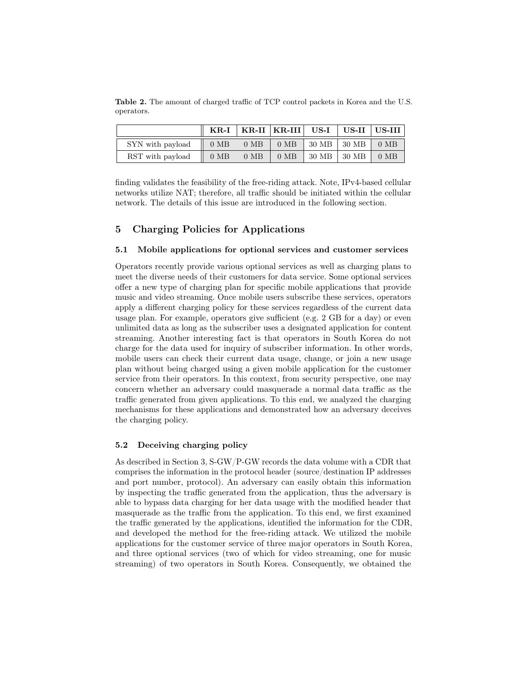Table 2. The amount of charged traffic of TCP control packets in Korea and the U.S. operators.

|                  | $KR-I$         |        | KR-II   KR-III   US-I   US-II   US-III |                                          |       |        |
|------------------|----------------|--------|----------------------------------------|------------------------------------------|-------|--------|
| SYN with payload | $0 \text{ MB}$ | $0$ MB | $0$ MB                                 | $^{\mathrm{+}}$ 30 MB $\mathrm{+}$ 30 MB |       | $0$ MB |
| RST with payload | $0\;{\rm MB}$  | $0$ MB | $0$ MB                                 | 30 MB                                    | 30 MB | 0 MB   |

finding validates the feasibility of the free-riding attack. Note, IPv4-based cellular networks utilize NAT; therefore, all traffic should be initiated within the cellular network. The details of this issue are introduced in the following section.

## 5 Charging Policies for Applications

#### 5.1 Mobile applications for optional services and customer services

Operators recently provide various optional services as well as charging plans to meet the diverse needs of their customers for data service. Some optional services offer a new type of charging plan for specific mobile applications that provide music and video streaming. Once mobile users subscribe these services, operators apply a different charging policy for these services regardless of the current data usage plan. For example, operators give sufficient (e.g. 2 GB for a day) or even unlimited data as long as the subscriber uses a designated application for content streaming. Another interesting fact is that operators in South Korea do not charge for the data used for inquiry of subscriber information. In other words, mobile users can check their current data usage, change, or join a new usage plan without being charged using a given mobile application for the customer service from their operators. In this context, from security perspective, one may concern whether an adversary could masquerade a normal data traffic as the traffic generated from given applications. To this end, we analyzed the charging mechanisms for these applications and demonstrated how an adversary deceives the charging policy.

#### 5.2 Deceiving charging policy

As described in Section 3, S-GW/P-GW records the data volume with a CDR that comprises the information in the protocol header (source/destination IP addresses and port number, protocol). An adversary can easily obtain this information by inspecting the traffic generated from the application, thus the adversary is able to bypass data charging for her data usage with the modified header that masquerade as the traffic from the application. To this end, we first examined the traffic generated by the applications, identified the information for the CDR, and developed the method for the free-riding attack. We utilized the mobile applications for the customer service of three major operators in South Korea, and three optional services (two of which for video streaming, one for music streaming) of two operators in South Korea. Consequently, we obtained the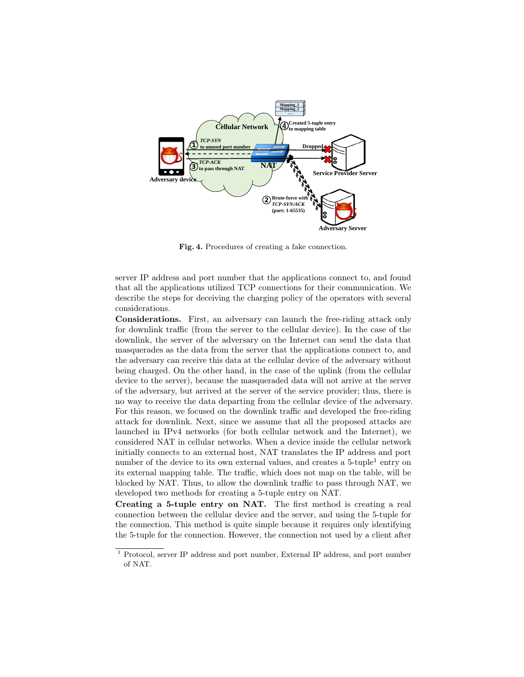

Fig. 4. Procedures of creating a fake connection.

server IP address and port number that the applications connect to, and found that all the applications utilized TCP connections for their communication. We describe the steps for deceiving the charging policy of the operators with several considerations.

Considerations. First, an adversary can launch the free-riding attack only for downlink traffic (from the server to the cellular device). In the case of the downlink, the server of the adversary on the Internet can send the data that masquerades as the data from the server that the applications connect to, and the adversary can receive this data at the cellular device of the adversary without being charged. On the other hand, in the case of the uplink (from the cellular device to the server), because the masqueraded data will not arrive at the server of the adversary, but arrived at the server of the service provider; thus, there is no way to receive the data departing from the cellular device of the adversary. For this reason, we focused on the downlink traffic and developed the free-riding attack for downlink. Next, since we assume that all the proposed attacks are launched in IPv4 networks (for both cellular network and the Internet), we considered NAT in cellular networks. When a device inside the cellular network initially connects to an external host, NAT translates the IP address and port number of the device to its own external values, and creates a 5-tuple<sup>1</sup> entry on its external mapping table. The traffic, which does not map on the table, will be blocked by NAT. Thus, to allow the downlink traffic to pass through NAT, we developed two methods for creating a 5-tuple entry on NAT.

Creating a 5-tuple entry on NAT. The first method is creating a real connection between the cellular device and the server, and using the 5-tuple for the connection. This method is quite simple because it requires only identifying the 5-tuple for the connection. However, the connection not used by a client after

<sup>1</sup> Protocol, server IP address and port number, External IP address, and port number of NAT.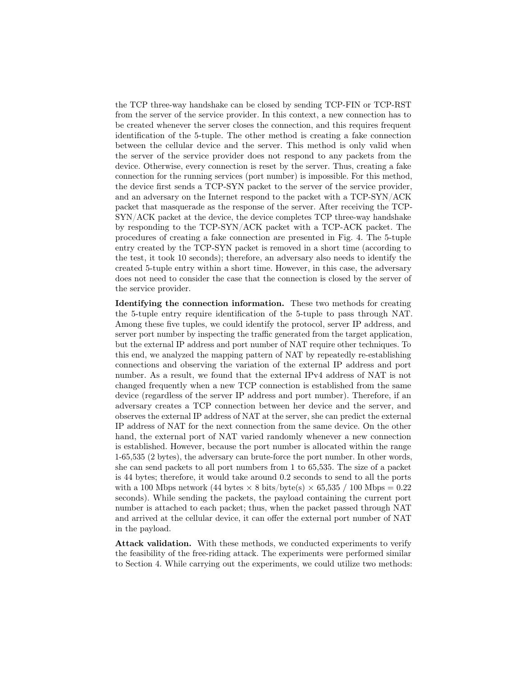the TCP three-way handshake can be closed by sending TCP-FIN or TCP-RST from the server of the service provider. In this context, a new connection has to be created whenever the server closes the connection, and this requires frequent identification of the 5-tuple. The other method is creating a fake connection between the cellular device and the server. This method is only valid when the server of the service provider does not respond to any packets from the device. Otherwise, every connection is reset by the server. Thus, creating a fake connection for the running services (port number) is impossible. For this method, the device first sends a TCP-SYN packet to the server of the service provider, and an adversary on the Internet respond to the packet with a TCP-SYN/ACK packet that masquerade as the response of the server. After receiving the TCP-SYN/ACK packet at the device, the device completes TCP three-way handshake by responding to the TCP-SYN/ACK packet with a TCP-ACK packet. The procedures of creating a fake connection are presented in Fig. 4. The 5-tuple entry created by the TCP-SYN packet is removed in a short time (according to the test, it took 10 seconds); therefore, an adversary also needs to identify the created 5-tuple entry within a short time. However, in this case, the adversary does not need to consider the case that the connection is closed by the server of the service provider.

Identifying the connection information. These two methods for creating the 5-tuple entry require identification of the 5-tuple to pass through NAT. Among these five tuples, we could identify the protocol, server IP address, and server port number by inspecting the traffic generated from the target application, but the external IP address and port number of NAT require other techniques. To this end, we analyzed the mapping pattern of NAT by repeatedly re-establishing connections and observing the variation of the external IP address and port number. As a result, we found that the external IPv4 address of NAT is not changed frequently when a new TCP connection is established from the same device (regardless of the server IP address and port number). Therefore, if an adversary creates a TCP connection between her device and the server, and observes the external IP address of NAT at the server, she can predict the external IP address of NAT for the next connection from the same device. On the other hand, the external port of NAT varied randomly whenever a new connection is established. However, because the port number is allocated within the range 1-65,535 (2 bytes), the adversary can brute-force the port number. In other words, she can send packets to all port numbers from 1 to 65,535. The size of a packet is 44 bytes; therefore, it would take around 0.2 seconds to send to all the ports with a 100 Mbps network (44 bytes  $\times$  8 bits/byte(s)  $\times$  65,535 / 100 Mbps = 0.22 seconds). While sending the packets, the payload containing the current port number is attached to each packet; thus, when the packet passed through NAT and arrived at the cellular device, it can offer the external port number of NAT in the payload.

Attack validation. With these methods, we conducted experiments to verify the feasibility of the free-riding attack. The experiments were performed similar to Section 4. While carrying out the experiments, we could utilize two methods: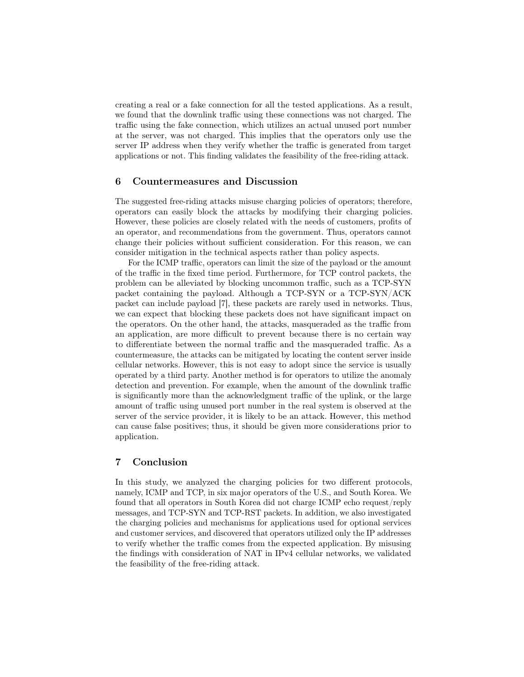creating a real or a fake connection for all the tested applications. As a result, we found that the downlink traffic using these connections was not charged. The traffic using the fake connection, which utilizes an actual unused port number at the server, was not charged. This implies that the operators only use the server IP address when they verify whether the traffic is generated from target applications or not. This finding validates the feasibility of the free-riding attack.

## 6 Countermeasures and Discussion

The suggested free-riding attacks misuse charging policies of operators; therefore, operators can easily block the attacks by modifying their charging policies. However, these policies are closely related with the needs of customers, profits of an operator, and recommendations from the government. Thus, operators cannot change their policies without sufficient consideration. For this reason, we can consider mitigation in the technical aspects rather than policy aspects.

For the ICMP traffic, operators can limit the size of the payload or the amount of the traffic in the fixed time period. Furthermore, for TCP control packets, the problem can be alleviated by blocking uncommon traffic, such as a TCP-SYN packet containing the payload. Although a TCP-SYN or a TCP-SYN/ACK packet can include payload [7], these packets are rarely used in networks. Thus, we can expect that blocking these packets does not have significant impact on the operators. On the other hand, the attacks, masqueraded as the traffic from an application, are more difficult to prevent because there is no certain way to differentiate between the normal traffic and the masqueraded traffic. As a countermeasure, the attacks can be mitigated by locating the content server inside cellular networks. However, this is not easy to adopt since the service is usually operated by a third party. Another method is for operators to utilize the anomaly detection and prevention. For example, when the amount of the downlink traffic is significantly more than the acknowledgment traffic of the uplink, or the large amount of traffic using unused port number in the real system is observed at the server of the service provider, it is likely to be an attack. However, this method can cause false positives; thus, it should be given more considerations prior to application.

### 7 Conclusion

In this study, we analyzed the charging policies for two different protocols, namely, ICMP and TCP, in six major operators of the U.S., and South Korea. We found that all operators in South Korea did not charge ICMP echo request/reply messages, and TCP-SYN and TCP-RST packets. In addition, we also investigated the charging policies and mechanisms for applications used for optional services and customer services, and discovered that operators utilized only the IP addresses to verify whether the traffic comes from the expected application. By misusing the findings with consideration of NAT in IPv4 cellular networks, we validated the feasibility of the free-riding attack.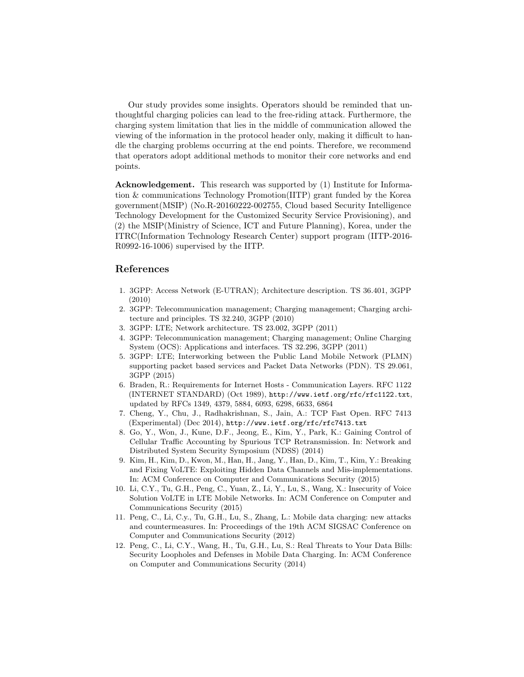Our study provides some insights. Operators should be reminded that unthoughtful charging policies can lead to the free-riding attack. Furthermore, the charging system limitation that lies in the middle of communication allowed the viewing of the information in the protocol header only, making it difficult to handle the charging problems occurring at the end points. Therefore, we recommend that operators adopt additional methods to monitor their core networks and end points.

Acknowledgement. This research was supported by (1) Institute for Information & communications Technology Promotion(IITP) grant funded by the Korea government(MSIP) (No.R-20160222-002755, Cloud based Security Intelligence Technology Development for the Customized Security Service Provisioning), and (2) the MSIP(Ministry of Science, ICT and Future Planning), Korea, under the ITRC(Information Technology Research Center) support program (IITP-2016- R0992-16-1006) supervised by the IITP.

#### References

- 1. 3GPP: Access Network (E-UTRAN); Architecture description. TS 36.401, 3GPP (2010)
- 2. 3GPP: Telecommunication management; Charging management; Charging architecture and principles. TS 32.240, 3GPP (2010)
- 3. 3GPP: LTE; Network architecture. TS 23.002, 3GPP (2011)
- 4. 3GPP: Telecommunication management; Charging management; Online Charging System (OCS): Applications and interfaces. TS 32.296, 3GPP (2011)
- 5. 3GPP: LTE; Interworking between the Public Land Mobile Network (PLMN) supporting packet based services and Packet Data Networks (PDN). TS 29.061, 3GPP (2015)
- 6. Braden, R.: Requirements for Internet Hosts Communication Layers. RFC 1122 (INTERNET STANDARD) (Oct 1989), http://www.ietf.org/rfc/rfc1122.txt, updated by RFCs 1349, 4379, 5884, 6093, 6298, 6633, 6864
- 7. Cheng, Y., Chu, J., Radhakrishnan, S., Jain, A.: TCP Fast Open. RFC 7413 (Experimental) (Dec 2014), http://www.ietf.org/rfc/rfc7413.txt
- 8. Go, Y., Won, J., Kune, D.F., Jeong, E., Kim, Y., Park, K.: Gaining Control of Cellular Traffic Accounting by Spurious TCP Retransmission. In: Network and Distributed System Security Symposium (NDSS) (2014)
- 9. Kim, H., Kim, D., Kwon, M., Han, H., Jang, Y., Han, D., Kim, T., Kim, Y.: Breaking and Fixing VoLTE: Exploiting Hidden Data Channels and Mis-implementations. In: ACM Conference on Computer and Communications Security (2015)
- 10. Li, C.Y., Tu, G.H., Peng, C., Yuan, Z., Li, Y., Lu, S., Wang, X.: Insecurity of Voice Solution VoLTE in LTE Mobile Networks. In: ACM Conference on Computer and Communications Security (2015)
- 11. Peng, C., Li, C.y., Tu, G.H., Lu, S., Zhang, L.: Mobile data charging: new attacks and countermeasures. In: Proceedings of the 19th ACM SIGSAC Conference on Computer and Communications Security (2012)
- 12. Peng, C., Li, C.Y., Wang, H., Tu, G.H., Lu, S.: Real Threats to Your Data Bills: Security Loopholes and Defenses in Mobile Data Charging. In: ACM Conference on Computer and Communications Security (2014)